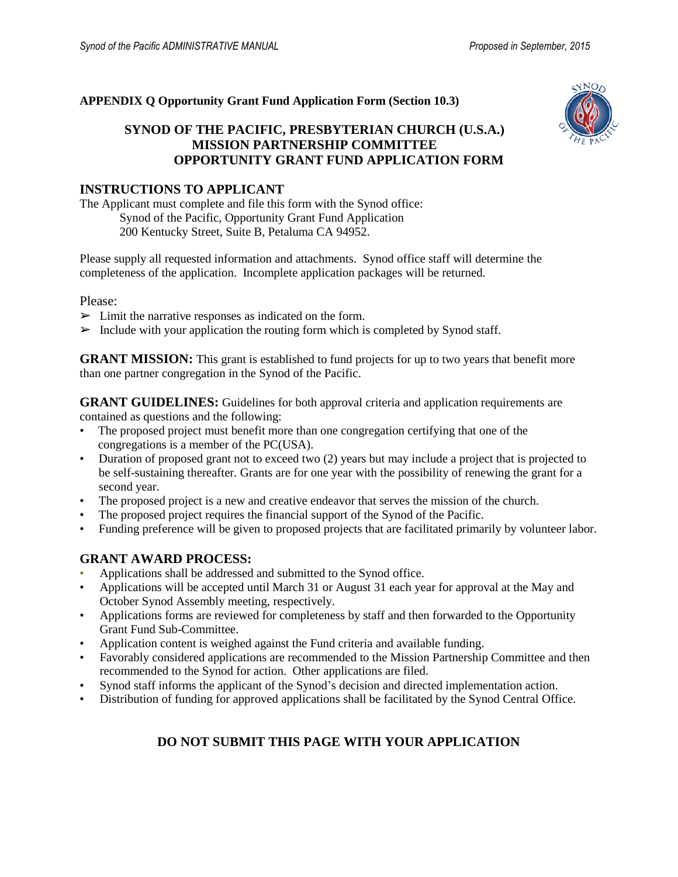#### **APPENDIX Q Opportunity Grant Fund Application Form (Section 10.3)**

# **SYNOD OF THE PACIFIC, PRESBYTERIAN CHURCH (U.S.A.) MISSION PARTNERSHIP COMMITTEE OPPORTUNITY GRANT FUND APPLICATION FORM**



# **INSTRUCTIONS TO APPLICANT**

The Applicant must complete and file this form with the Synod office: Synod of the Pacific, Opportunity Grant Fund Application 200 Kentucky Street, Suite B, Petaluma CA 94952.

Please supply all requested information and attachments. Synod office staff will determine the completeness of the application. Incomplete application packages will be returned.

Please:

- $\triangleright$  Limit the narrative responses as indicated on the form.
- $\triangleright$  Include with your application the routing form which is completed by Synod staff.

**GRANT MISSION:** This grant is established to fund projects for up to two years that benefit more than one partner congregation in the Synod of the Pacific.

**GRANT GUIDELINES:** Guidelines for both approval criteria and application requirements are contained as questions and the following:

- The proposed project must benefit more than one congregation certifying that one of the congregations is a member of the PC(USA).
- Duration of proposed grant not to exceed two (2) years but may include a project that is projected to be self-sustaining thereafter. Grants are for one year with the possibility of renewing the grant for a second year.
- The proposed project is a new and creative endeavor that serves the mission of the church.
- The proposed project requires the financial support of the Synod of the Pacific.
- Funding preference will be given to proposed projects that are facilitated primarily by volunteer labor.

## **GRANT AWARD PROCESS:**

- Applications shall be addressed and submitted to the Synod office.
- Applications will be accepted until March 31 or August 31 each year for approval at the May and October Synod Assembly meeting, respectively.
- Applications forms are reviewed for completeness by staff and then forwarded to the Opportunity Grant Fund Sub-Committee.
- Application content is weighed against the Fund criteria and available funding.
- Favorably considered applications are recommended to the Mission Partnership Committee and then recommended to the Synod for action. Other applications are filed.
- Synod staff informs the applicant of the Synod's decision and directed implementation action.
- Distribution of funding for approved applications shall be facilitated by the Synod Central Office.

# **DO NOT SUBMIT THIS PAGE WITH YOUR APPLICATION**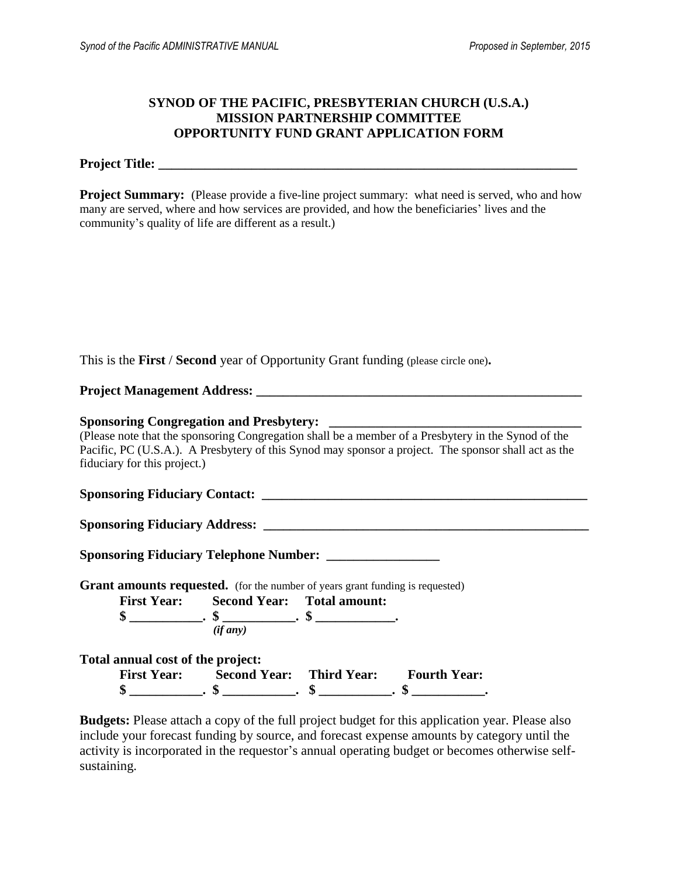#### **SYNOD OF THE PACIFIC, PRESBYTERIAN CHURCH (U.S.A.) MISSION PARTNERSHIP COMMITTEE OPPORTUNITY FUND GRANT APPLICATION FORM**

**Project Title: \_\_\_\_\_\_\_\_\_\_\_\_\_\_\_\_\_\_\_\_\_\_\_\_\_\_\_\_\_\_\_\_\_\_\_\_\_\_\_\_\_\_\_\_\_\_\_\_\_\_\_\_\_\_\_\_\_\_\_\_\_\_\_**

**Project Summary:** (Please provide a five-line project summary: what need is served, who and how many are served, where and how services are provided, and how the beneficiaries' lives and the community's quality of life are different as a result.)

This is the **First** / **Second** year of Opportunity Grant funding (please circle one)**.**

**Project Management Address: \_\_\_\_\_\_\_\_\_\_\_\_\_\_\_\_\_\_\_\_\_\_\_\_\_\_\_\_\_\_\_\_\_\_\_\_\_\_\_\_\_\_\_\_\_\_\_\_\_**

#### **Sponsoring Congregation and Presbytery: \_\_\_\_\_\_\_\_\_\_\_\_\_\_\_\_\_\_\_\_\_\_\_\_\_\_\_\_\_\_\_\_\_\_\_\_\_\_**

(Please note that the sponsoring Congregation shall be a member of a Presbytery in the Synod of the Pacific, PC (U.S.A.). A Presbytery of this Synod may sponsor a project. The sponsor shall act as the fiduciary for this project.)

**Sponsoring Fiduciary Contact: \_\_\_\_\_\_\_\_\_\_\_\_\_\_\_\_\_\_\_\_\_\_\_\_\_\_\_\_\_\_\_\_\_\_\_\_\_\_\_\_\_\_\_\_\_\_\_\_\_**

**Sponsoring Fiduciary Address: \_\_\_\_\_\_\_\_\_\_\_\_\_\_\_\_\_\_\_\_\_\_\_\_\_\_\_\_\_\_\_\_\_\_\_\_\_\_\_\_\_\_\_\_\_\_\_\_\_**

**Sponsoring Fiduciary Telephone Number: \_\_\_\_\_\_\_\_\_\_\_\_\_\_\_\_\_**

**Grant amounts requested.** (for the number of years grant funding is requested)

**First Year: Second Year: Total amount: \$ \_\_\_\_\_\_\_\_\_\_\_. \$ \_\_\_\_\_\_\_\_\_\_\_. \$ \_\_\_\_\_\_\_\_\_\_\_\_.**   *(if any)* 

**Total annual cost of the project:**

| <b>First Year:</b> | <b>Second Year:</b> Third Year: | <b>Fourth Year:</b> |
|--------------------|---------------------------------|---------------------|
|                    | ۱n                              |                     |

**Budgets:** Please attach a copy of the full project budget for this application year. Please also include your forecast funding by source, and forecast expense amounts by category until the activity is incorporated in the requestor's annual operating budget or becomes otherwise selfsustaining.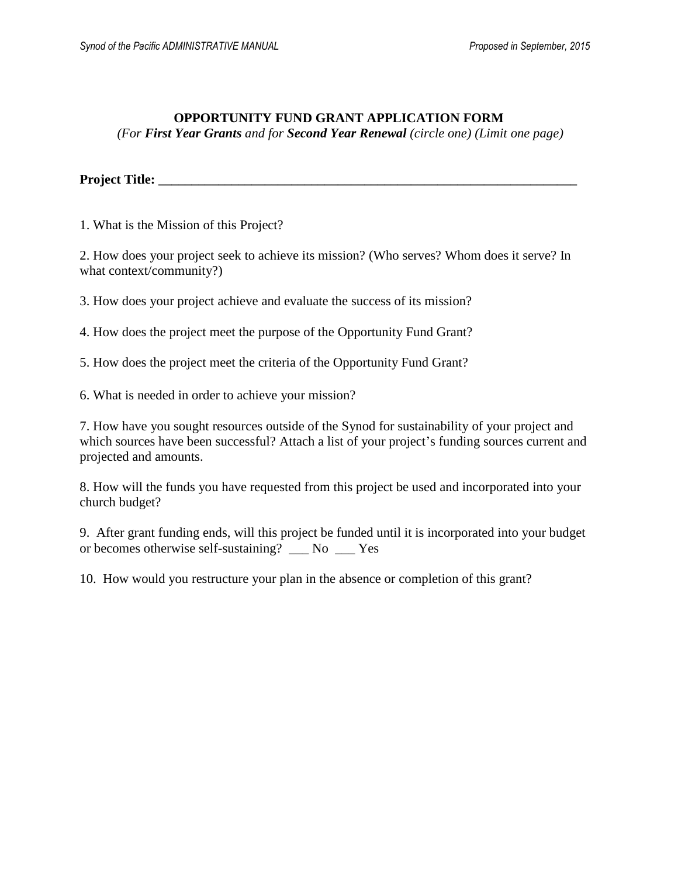# **OPPORTUNITY FUND GRANT APPLICATION FORM**

*(For First Year Grants and for Second Year Renewal (circle one) (Limit one page)*

**Project Title: \_\_\_\_\_\_\_\_\_\_\_\_\_\_\_\_\_\_\_\_\_\_\_\_\_\_\_\_\_\_\_\_\_\_\_\_\_\_\_\_\_\_\_\_\_\_\_\_\_\_\_\_\_\_\_\_\_\_\_\_\_\_\_**

1. What is the Mission of this Project?

2. How does your project seek to achieve its mission? (Who serves? Whom does it serve? In what context/community?)

3. How does your project achieve and evaluate the success of its mission?

4. How does the project meet the purpose of the Opportunity Fund Grant?

5. How does the project meet the criteria of the Opportunity Fund Grant?

6. What is needed in order to achieve your mission?

7. How have you sought resources outside of the Synod for sustainability of your project and which sources have been successful? Attach a list of your project's funding sources current and projected and amounts.

8. How will the funds you have requested from this project be used and incorporated into your church budget?

9. After grant funding ends, will this project be funded until it is incorporated into your budget or becomes otherwise self-sustaining? \_\_\_ No \_\_\_ Yes

10. How would you restructure your plan in the absence or completion of this grant?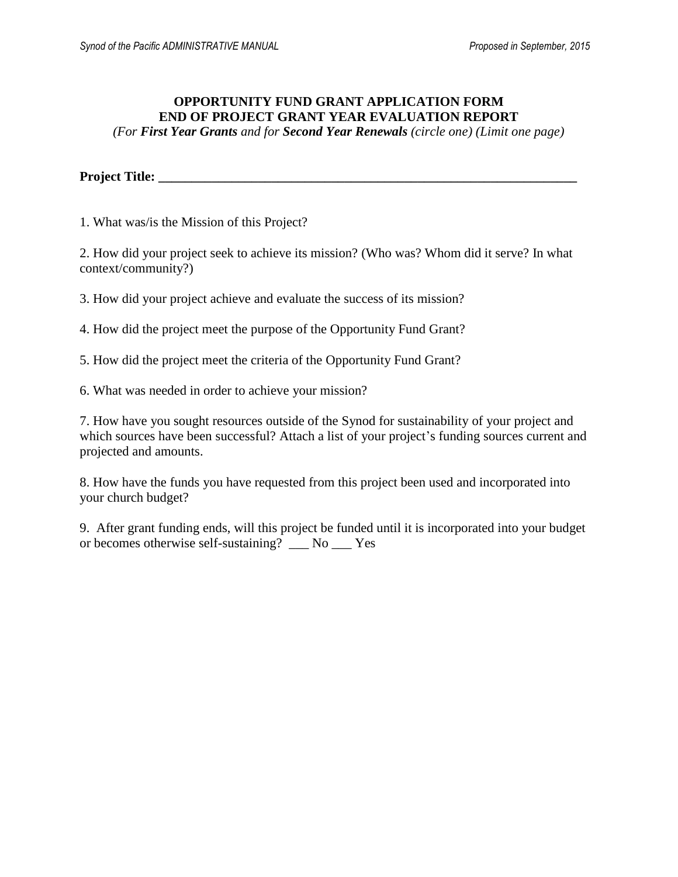# **OPPORTUNITY FUND GRANT APPLICATION FORM END OF PROJECT GRANT YEAR EVALUATION REPORT**

*(For First Year Grants and for Second Year Renewals (circle one) (Limit one page)*

**Project Title: \_\_\_\_\_\_\_\_\_\_\_\_\_\_\_\_\_\_\_\_\_\_\_\_\_\_\_\_\_\_\_\_\_\_\_\_\_\_\_\_\_\_\_\_\_\_\_\_\_\_\_\_\_\_\_\_\_\_\_\_\_\_\_**

1. What was/is the Mission of this Project?

2. How did your project seek to achieve its mission? (Who was? Whom did it serve? In what context/community?)

3. How did your project achieve and evaluate the success of its mission?

4. How did the project meet the purpose of the Opportunity Fund Grant?

5. How did the project meet the criteria of the Opportunity Fund Grant?

6. What was needed in order to achieve your mission?

7. How have you sought resources outside of the Synod for sustainability of your project and which sources have been successful? Attach a list of your project's funding sources current and projected and amounts.

8. How have the funds you have requested from this project been used and incorporated into your church budget?

9. After grant funding ends, will this project be funded until it is incorporated into your budget or becomes otherwise self-sustaining? \_\_\_ No \_\_\_ Yes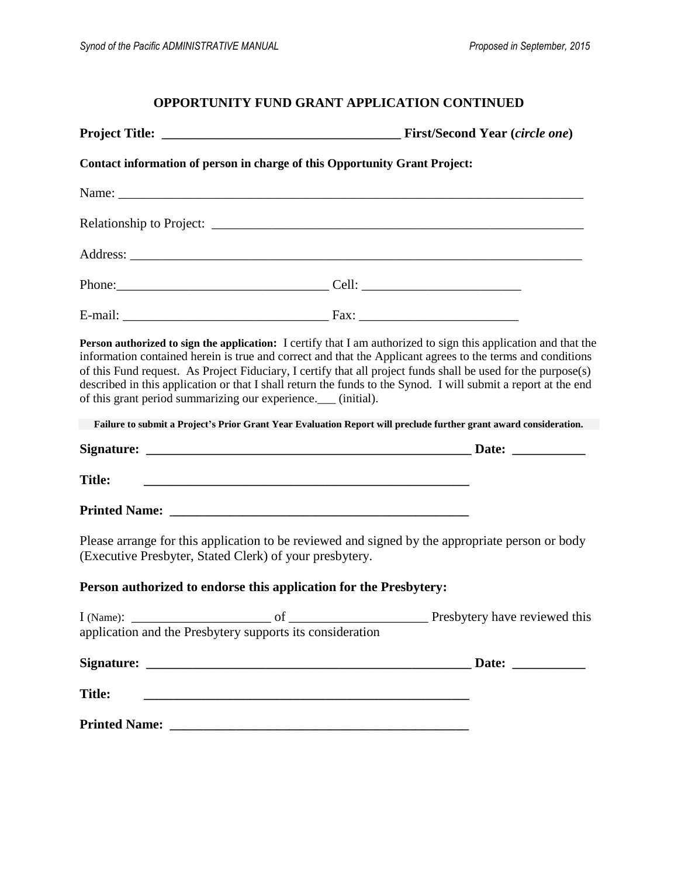# **OPPORTUNITY FUND GRANT APPLICATION CONTINUED**

|                                                                | Contact information of person in charge of this Opportunity Grant Project:                                                                                                                                                                                                                                                                                                                                                                                       |
|----------------------------------------------------------------|------------------------------------------------------------------------------------------------------------------------------------------------------------------------------------------------------------------------------------------------------------------------------------------------------------------------------------------------------------------------------------------------------------------------------------------------------------------|
|                                                                |                                                                                                                                                                                                                                                                                                                                                                                                                                                                  |
|                                                                |                                                                                                                                                                                                                                                                                                                                                                                                                                                                  |
|                                                                |                                                                                                                                                                                                                                                                                                                                                                                                                                                                  |
|                                                                |                                                                                                                                                                                                                                                                                                                                                                                                                                                                  |
|                                                                |                                                                                                                                                                                                                                                                                                                                                                                                                                                                  |
| of this grant period summarizing our experience.___ (initial). | Person authorized to sign the application: I certify that I am authorized to sign this application and that the<br>information contained herein is true and correct and that the Applicant agrees to the terms and conditions<br>of this Fund request. As Project Fiduciary, I certify that all project funds shall be used for the purpose(s)<br>described in this application or that I shall return the funds to the Synod. I will submit a report at the end |
|                                                                | Failure to submit a Project's Prior Grant Year Evaluation Report will preclude further grant award consideration.                                                                                                                                                                                                                                                                                                                                                |
|                                                                |                                                                                                                                                                                                                                                                                                                                                                                                                                                                  |
| <b>Title:</b>                                                  |                                                                                                                                                                                                                                                                                                                                                                                                                                                                  |
|                                                                |                                                                                                                                                                                                                                                                                                                                                                                                                                                                  |
| (Executive Presbyter, Stated Clerk) of your presbytery.        | Please arrange for this application to be reviewed and signed by the appropriate person or body                                                                                                                                                                                                                                                                                                                                                                  |
|                                                                | Person authorized to endorse this application for the Presbytery:                                                                                                                                                                                                                                                                                                                                                                                                |
| application and the Presbytery supports its consideration      |                                                                                                                                                                                                                                                                                                                                                                                                                                                                  |
|                                                                |                                                                                                                                                                                                                                                                                                                                                                                                                                                                  |
| <b>Title:</b>                                                  |                                                                                                                                                                                                                                                                                                                                                                                                                                                                  |
|                                                                | Printed Name: <u>December 2008</u>                                                                                                                                                                                                                                                                                                                                                                                                                               |